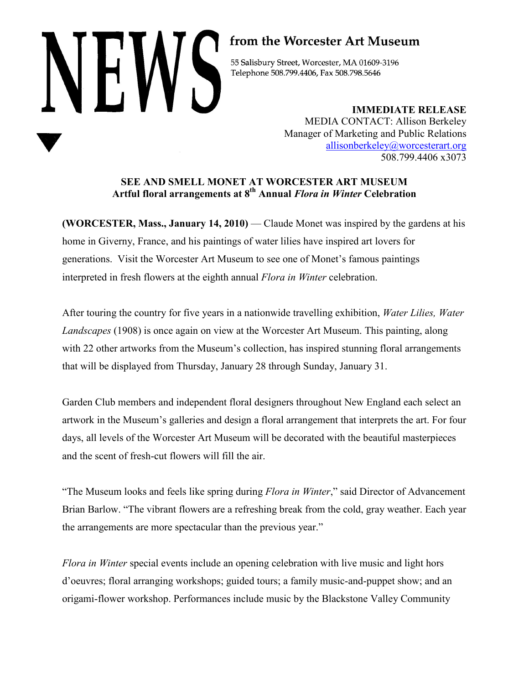# NHW

# from the Worcester Art Museum

55 Salisbury Street, Worcester, MA 01609-3196 Telephone 508.799.4406, Fax 508.798.5646

> **IMMEDIATE RELEASE** MEDIA CONTACT: Allison Berkeley Manager of Marketing and Public Relations [allisonberkeley@worcesterart.org](mailto:allisonberkeley@worcesterart.org) 508.799.4406 x3073

# **SEE AND SMELL MONET AT WORCESTER ART MUSEUM Artful floral arrangements at 8th Annual** *Flora in Winter* **Celebration**

**(WORCESTER, Mass., January 14, 2010)** — Claude Monet was inspired by the gardens at his home in Giverny, France, and his paintings of water lilies have inspired art lovers for generations. Visit the Worcester Art Museum to see one of Monet's famous paintings interpreted in fresh flowers at the eighth annual *Flora in Winter* celebration.

After touring the country for five years in a nationwide travelling exhibition, *Water Lilies, Water Landscapes* (1908) is once again on view at the Worcester Art Museum. This painting, along with 22 other artworks from the Museum's collection, has inspired stunning floral arrangements that will be displayed from Thursday, January 28 through Sunday, January 31.

Garden Club members and independent floral designers throughout New England each select an artwork in the Museum's galleries and design a floral arrangement that interprets the art. For four days, all levels of the Worcester Art Museum will be decorated with the beautiful masterpieces and the scent of fresh-cut flowers will fill the air.

"The Museum looks and feels like spring during *Flora in Winter*," said Director of Advancement Brian Barlow. "The vibrant flowers are a refreshing break from the cold, gray weather. Each year the arrangements are more spectacular than the previous year."

*Flora in Winter* special events include an opening celebration with live music and light hors d'oeuvres; floral arranging workshops; guided tours; a family music-and-puppet show; and an origami-flower workshop. Performances include music by the Blackstone Valley Community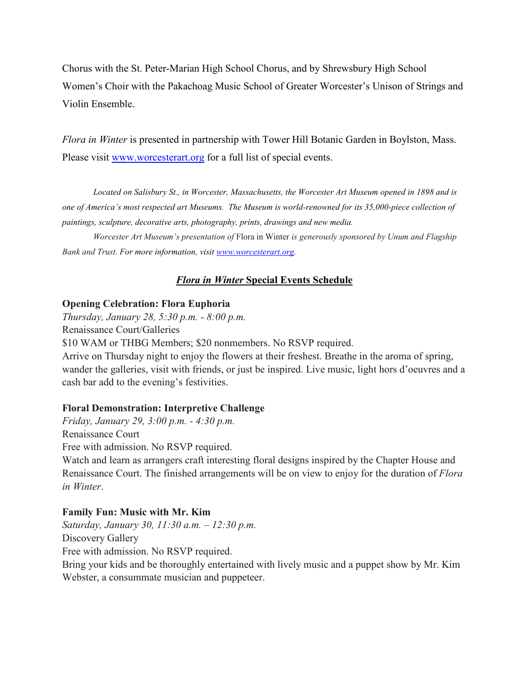Chorus with the St. Peter-Marian High School Chorus, and by Shrewsbury High School Women's Choir with the Pakachoag Music School of Greater Worcester's Unison of Strings and Violin Ensemble.

*Flora in Winter* is presented in partnership with Tower Hill Botanic Garden in Boylston, Mass. Please visit [www.worcesterart.org](http://www.worcesterart.org/) for a full list of special events.

*Located on Salisbury St., in Worcester, Massachusetts, the Worcester Art Museum opened in 1898 and is one of America's most respected art Museums. The Museum is world-renowned for its 35,000-piece collection of paintings, sculpture, decorative arts, photography, prints, drawings and new media.* 

*Worcester Art Museum's presentation of* Flora in Winter *is generously sponsored by Unum and Flagship Bank and Trust. For more information, visit [www.worcesterart.org.](http://www.worcesterart.org/)*

# *Flora in Winter* **Special Events Schedule**

# **Opening Celebration: Flora Euphoria**

*Thursday, January 28, 5:30 p.m. - 8:00 p.m.*  Renaissance Court/Galleries \$10 WAM or THBG Members; \$20 nonmembers. No RSVP required. Arrive on Thursday night to enjoy the flowers at their freshest. Breathe in the aroma of spring, wander the galleries, visit with friends, or just be inspired. Live music, light hors d'oeuvres and a cash bar add to the evening's festivities.

# **Floral Demonstration: Interpretive Challenge**

*Friday, January 29, 3:00 p.m. - 4:30 p.m.* Renaissance Court Free with admission. No RSVP required.

Watch and learn as arrangers craft interesting floral designs inspired by the Chapter House and Renaissance Court. The finished arrangements will be on view to enjoy for the duration of *Flora in Winter*.

# **Family Fun: Music with Mr. Kim**

*Saturday, January 30, 11:30 a.m. – 12:30 p.m.* Discovery Gallery Free with admission. No RSVP required.

Bring your kids and be thoroughly entertained with lively music and a puppet show by Mr. Kim Webster, a consummate musician and puppeteer.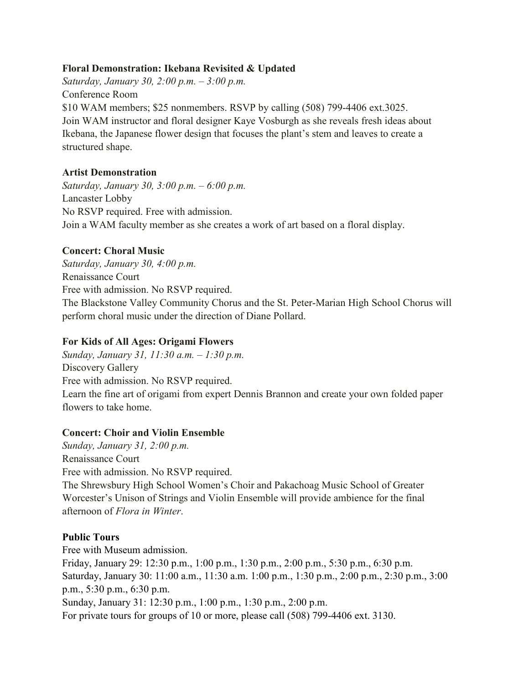# **Floral Demonstration: Ikebana Revisited & Updated**

*Saturday, January 30, 2:00 p.m. – 3:00 p.m.* Conference Room \$10 WAM members; \$25 nonmembers. RSVP by calling (508) 799-4406 ext.3025. Join WAM instructor and floral designer Kaye Vosburgh as she reveals fresh ideas about Ikebana, the Japanese flower design that focuses the plant's stem and leaves to create a structured shape.

# **Artist Demonstration**

*Saturday, January 30, 3:00 p.m. – 6:00 p.m.* Lancaster Lobby No RSVP required. Free with admission. Join a WAM faculty member as she creates a work of art based on a floral display.

# **Concert: Choral Music**

*Saturday, January 30, 4:00 p.m.*  Renaissance Court Free with admission. No RSVP required. The Blackstone Valley Community Chorus and the St. Peter-Marian High School Chorus will perform choral music under the direction of Diane Pollard.

# **For Kids of All Ages: Origami Flowers**

*Sunday, January 31, 11:30 a.m. – 1:30 p.m.* Discovery Gallery Free with admission. No RSVP required. Learn the fine art of origami from expert Dennis Brannon and create your own folded paper flowers to take home.

# **Concert: Choir and Violin Ensemble**

*Sunday, January 31, 2:00 p.m.* Renaissance Court Free with admission. No RSVP required. The Shrewsbury High School Women's Choir and Pakachoag Music School of Greater Worcester's Unison of Strings and Violin Ensemble will provide ambience for the final afternoon of *Flora in Winter*.

# **Public Tours**

Free with Museum admission. Friday, January 29: 12:30 p.m., 1:00 p.m., 1:30 p.m., 2:00 p.m., 5:30 p.m., 6:30 p.m. Saturday, January 30: 11:00 a.m., 11:30 a.m. 1:00 p.m., 1:30 p.m., 2:00 p.m., 2:30 p.m., 3:00 p.m., 5:30 p.m., 6:30 p.m. Sunday, January 31: 12:30 p.m., 1:00 p.m., 1:30 p.m., 2:00 p.m. For private tours for groups of 10 or more, please call (508) 799-4406 ext. 3130.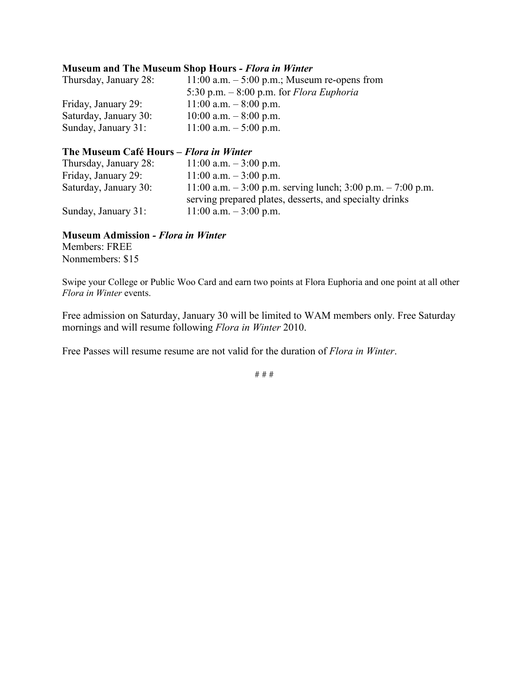## **Museum and The Museum Shop Hours** *- Flora in Winter*

| Thursday, January 28: | 11:00 a.m. $-$ 5:00 p.m.; Museum re-opens from |
|-----------------------|------------------------------------------------|
|                       | 5:30 p.m. $-8:00$ p.m. for Flora Euphoria      |
| Friday, January 29:   | $11:00$ a.m. $-8:00$ p.m.                      |
| Saturday, January 30: | $10:00$ a.m. $-8:00$ p.m.                      |
| Sunday, January 31:   | $11:00$ a.m. $-5:00$ p.m.                      |

## **The Museum Café Hours –** *Flora in Winter*

| Thursday, January 28: | $11:00$ a.m. $-3:00$ p.m.                                     |
|-----------------------|---------------------------------------------------------------|
| Friday, January 29:   | $11:00$ a.m. $-3:00$ p.m.                                     |
| Saturday, January 30: | 11:00 a.m. $-3:00$ p.m. serving lunch; 3:00 p.m. $-7:00$ p.m. |
|                       | serving prepared plates, desserts, and specialty drinks       |
| Sunday, January 31:   | $11:00$ a.m. $-3:00$ p.m.                                     |

## **Museum Admission** *- Flora in Winter*

Members: FREE Nonmembers: \$15

Swipe your College or Public Woo Card and earn two points at Flora Euphoria and one point at all other *Flora in Winter* events.

Free admission on Saturday, January 30 will be limited to WAM members only. Free Saturday mornings and will resume following *Flora in Winter* 2010.

Free Passes will resume resume are not valid for the duration of *Flora in Winter*.

# # #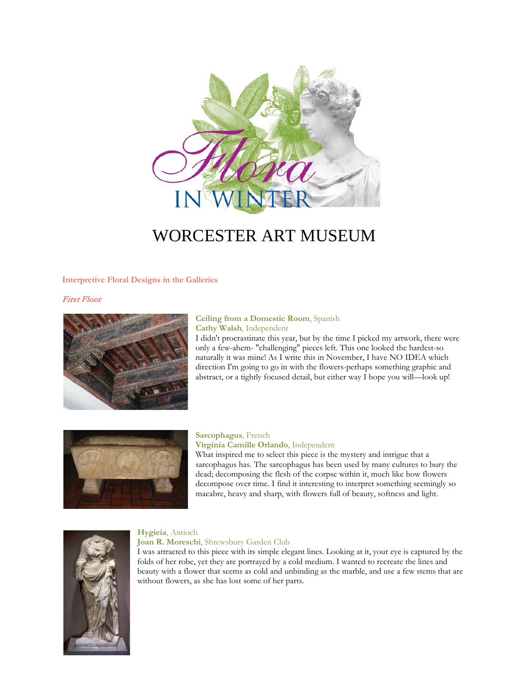

# WORCESTER ART MUSEUM

### **Interpretive Floral Designs in the Galleries**

### First Floor



### **Ceiling from a Domestic Room**, Spanish **Cathy Walsh**, Independent

I didn't procrastinate this year, but by the time I picked my artwork, there were only a few-ahem- "challenging" pieces left. This one looked the hardest-so naturally it was mine! As I write this in November, I have NO IDEA which direction I'm going to go in with the flowers-perhaps something graphic and abstract, or a tightly focused detail, but either way I hope you will—look up!



### **Sarcophagus**, French **Virginia Camille Orlando**, Independent

What inspired me to select this piece is the mystery and intrigue that a sarcophagus has. The sarcophagus has been used by many cultures to bury the dead; decomposing the flesh of the corpse within it, much like how flowers decompose over time. I find it interesting to interpret something seemingly so macabre, heavy and sharp, with flowers full of beauty, softness and light.



### **Hygieia**, Antioch

### **Joan R. Moreschi**, Shrewsbury Garden Club

I was attracted to this piece with its simple elegant lines. Looking at it, your eye is captured by the folds of her robe, yet they are portrayed by a cold medium. I wanted to recreate the lines and beauty with a flower that seems as cold and unbinding as the marble, and use a few stems that are without flowers, as she has lost some of her parts.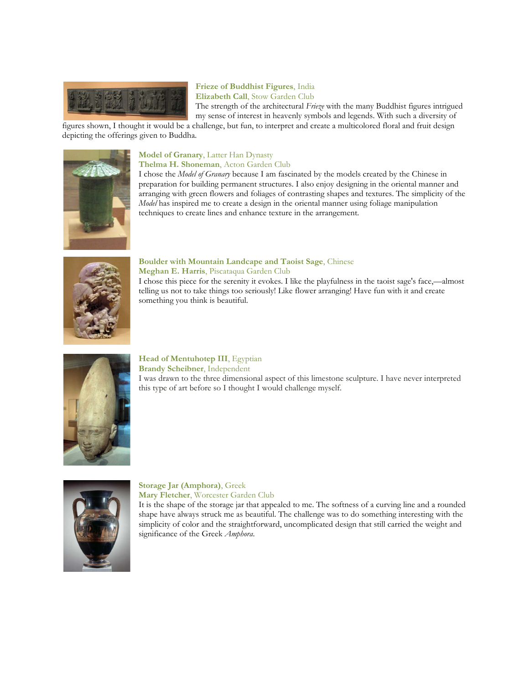

### **Frieze of Buddhist Figures**, India **Elizabeth Call**, Stow Garden Club

The strength of the architectural *Frieze* with the many Buddhist figures intrigued my sense of interest in heavenly symbols and legends. With such a diversity of

figures shown, I thought it would be a challenge, but fun, to interpret and create a multicolored floral and fruit design depicting the offerings given to Buddha.



### **Model of Granary**, Latter Han Dynasty **Thelma H. Shoneman**, Acton Garden Club

I chose the *Model of Granary* because I am fascinated by the models created by the Chinese in preparation for building permanent structures. I also enjoy designing in the oriental manner and arranging with green flowers and foliages of contrasting shapes and textures. The simplicity of the *Model* has inspired me to create a design in the oriental manner using foliage manipulation techniques to create lines and enhance texture in the arrangement.



### **Boulder with Mountain Landcape and Taoist Sage**, Chinese **Meghan E. Harris**, Piscataqua Garden Club

I chose this piece for the serenity it evokes. I like the playfulness in the taoist sage's face,—almost telling us not to take things too seriously! Like flower arranging! Have fun with it and create something you think is beautiful.



**Head of Mentuhotep III**, Egyptian

**Brandy Scheibner**, Independent

I was drawn to the three dimensional aspect of this limestone sculpture. I have never interpreted this type of art before so I thought I would challenge myself.



### **Storage Jar (Amphora)**, Greek **Mary Fletcher**, Worcester Garden Club

It is the shape of the storage jar that appealed to me. The softness of a curving line and a rounded shape have always struck me as beautiful. The challenge was to do something interesting with the simplicity of color and the straightforward, uncomplicated design that still carried the weight and significance of the Greek *Amphora*.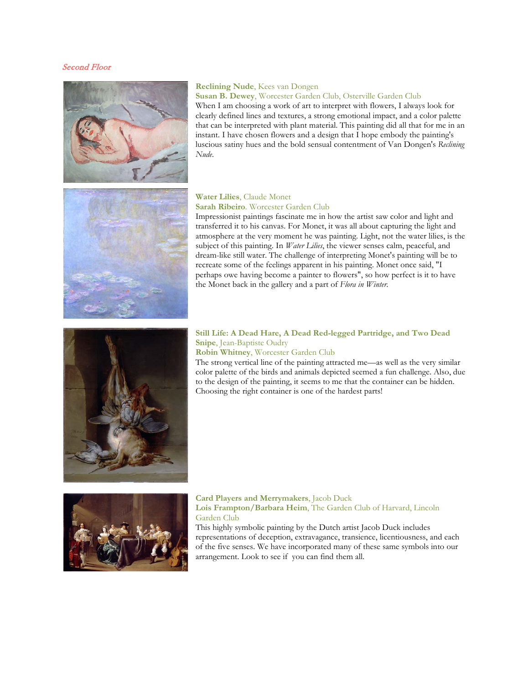### Second Floor



### **Reclining Nude**, Kees van Dongen

### **Susan B. Dewey**, Worcester Garden Club, Osterville Garden Club

When I am choosing a work of art to interpret with flowers, I always look for clearly defined lines and textures, a strong emotional impact, and a color palette that can be interpreted with plant material. This painting did all that for me in an instant. I have chosen flowers and a design that I hope embody the painting's luscious satiny hues and the bold sensual contentment of Van Dongen's *Reclining Nude*.



### **Water Lilies**, Claude Monet **Sarah Ribeiro**. Worcester Garden Club

Impressionist paintings fascinate me in how the artist saw color and light and transferred it to his canvas. For Monet, it was all about capturing the light and atmosphere at the very moment he was painting. Light, not the water lilies, is the subject of this painting. In *Water Lilies*, the viewer senses calm, peaceful, and dream-like still water. The challenge of interpreting Monet's painting will be to recreate some of the feelings apparent in his painting. Monet once said, "I perhaps owe having become a painter to flowers", so how perfect is it to have the Monet back in the gallery and a part of *Flora in Winter*.



### **Still Life: A Dead Hare, A Dead Red-legged Partridge, and Two Dead Snipe**, Jean-Baptiste Oudry

**Robin Whitney**, Worcester Garden Club

The strong vertical line of the painting attracted me—as well as the very similar color palette of the birds and animals depicted seemed a fun challenge. Also, due to the design of the painting, it seems to me that the container can be hidden. Choosing the right container is one of the hardest parts!



### **Card Players and Merrymakers**, Jacob Duck **Lois Frampton/Barbara Heim**, The Garden Club of Harvard, Lincoln Garden Club

This highly symbolic painting by the Dutch artist Jacob Duck includes representations of deception, extravagance, transience, licentiousness, and each of the five senses. We have incorporated many of these same symbols into our arrangement. Look to see if you can find them all.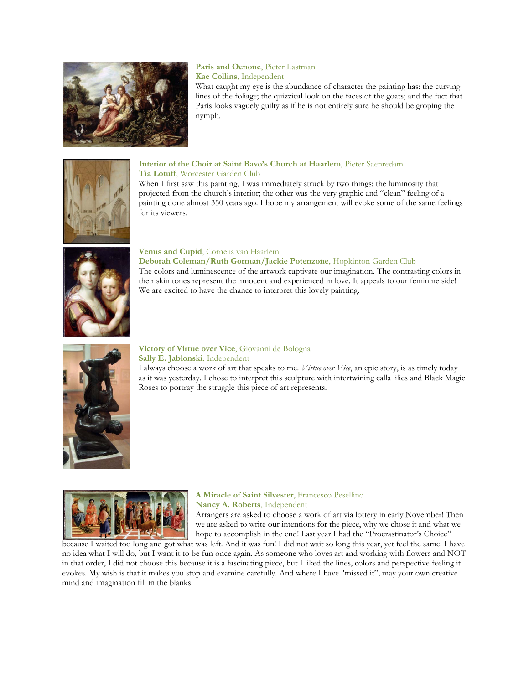

### **Paris and Oenone**, Pieter Lastman **Kae Collins**, Independent

What caught my eye is the abundance of character the painting has: the curving lines of the foliage; the quizzical look on the faces of the goats; and the fact that Paris looks vaguely guilty as if he is not entirely sure he should be groping the nymph.



### **Interior of the Choir at Saint Bavo's Church at Haarlem**, Pieter Saenredam **Tia Lotuff**, Worcester Garden Club

When I first saw this painting, I was immediately struck by two things: the luminosity that projected from the church's interior; the other was the very graphic and "clean" feeling of a painting done almost 350 years ago. I hope my arrangement will evoke some of the same feelings for its viewers.



### **Venus and Cupid**, Cornelis van Haarlem

**Deborah Coleman/Ruth Gorman/Jackie Potenzone**, Hopkinton Garden Club The colors and luminescence of the artwork captivate our imagination. The contrasting colors in their skin tones represent the innocent and experienced in love. It appeals to our feminine side! We are excited to have the chance to interpret this lovely painting.



### **Victory of Virtue over Vice**, Giovanni de Bologna **Sally E. Jablonski**, Independent

I always choose a work of art that speaks to me. *Virtue over Vice*, an epic story, is as timely today as it was yesterday. I chose to interpret this sculpture with intertwining calla lilies and Black Magic Roses to portray the struggle this piece of art represents.



### **A Miracle of Saint Silvester**, Francesco Pesellino **Nancy A. Roberts**, Independent

Arrangers are asked to choose a work of art via lottery in early November! Then we are asked to write our intentions for the piece, why we chose it and what we hope to accomplish in the end! Last year I had the "Procrastinator's Choice"

because I waited too long and got what was left. And it was fun! I did not wait so long this year, yet feel the same. I have no idea what I will do, but I want it to be fun once again. As someone who loves art and working with flowers and NOT in that order, I did not choose this because it is a fascinating piece, but I liked the lines, colors and perspective feeling it evokes. My wish is that it makes you stop and examine carefully. And where I have "missed it", may your own creative mind and imagination fill in the blanks!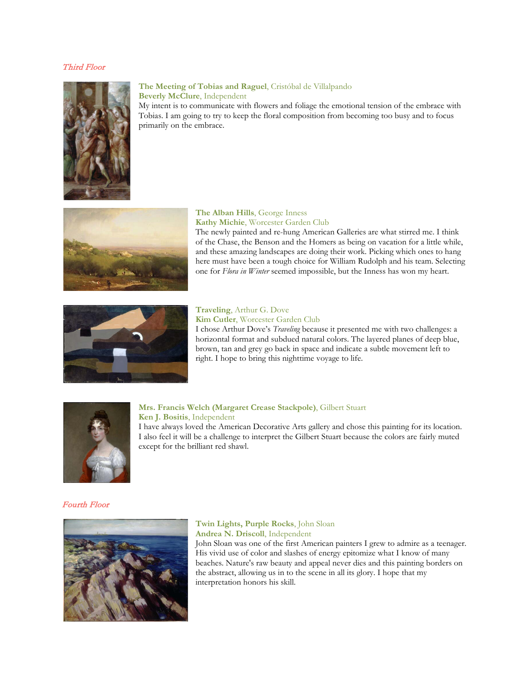### Third Floor



### **The Meeting of Tobias and Raguel**, Cristóbal de Villalpando **Beverly McClure**, Independent

My intent is to communicate with flowers and foliage the emotional tension of the embrace with Tobias. I am going to try to keep the floral composition from becoming too busy and to focus primarily on the embrace.



### **The Alban Hills**, George Inness **Kathy Michie**, Worcester Garden Club

The newly painted and re-hung American Galleries are what stirred me. I think of the Chase, the Benson and the Homers as being on vacation for a little while, and these amazing landscapes are doing their work. Picking which ones to hang here must have been a tough choice for William Rudolph and his team. Selecting one for *Flora in Winter* seemed impossible, but the Inness has won my heart.



# **Traveling**, Arthur G. Dove

**Kim Cutler**, Worcester Garden Club

I chose Arthur Dove's *Traveling* because it presented me with two challenges: a horizontal format and subdued natural colors. The layered planes of deep blue, brown, tan and grey go back in space and indicate a subtle movement left to right. I hope to bring this nighttime voyage to life.



### **Mrs. Francis Welch (Margaret Crease Stackpole)**, Gilbert Stuart **Ken J. Bositis**, Independent

I have always loved the American Decorative Arts gallery and chose this painting for its location. I also feel it will be a challenge to interpret the Gilbert Stuart because the colors are fairly muted except for the brilliant red shawl.

### Fourth Floor



### **Twin Lights, Purple Rocks**, John Sloan **Andrea N. Driscoll**, Independent

John Sloan was one of the first American painters I grew to admire as a teenager. His vivid use of color and slashes of energy epitomize what I know of many beaches. Nature's raw beauty and appeal never dies and this painting borders on the abstract, allowing us in to the scene in all its glory. I hope that my interpretation honors his skill.